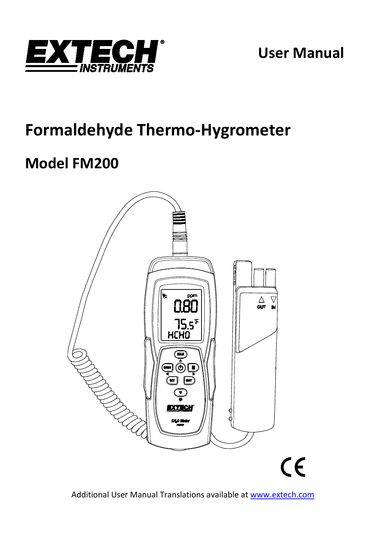

**User Manual**

# **Formaldehyde Thermo-Hygrometer**

# **Model FM200**



Additional User Manual Translations available at [www.extech.com](http://www.extech.com/)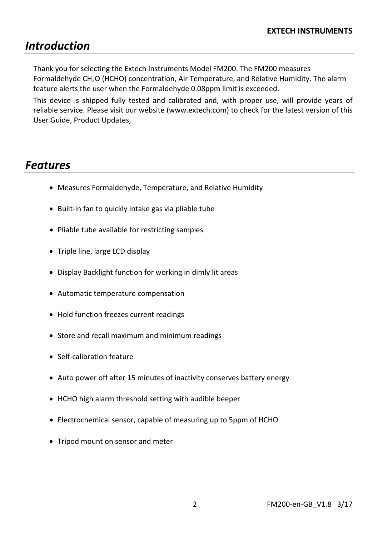# *Introduction*

Thank you for selecting the Extech Instruments Model FM200. The FM200 measures Formaldehyde CH2O (HCHO) concentration, Air Temperature, and Relative Humidity. The alarm feature alerts the user when the Formaldehyde 0.08ppm limit is exceeded.

This device is shipped fully tested and calibrated and, with proper use, will provide years of reliable service. Please visit our website [\(www.extech.com\)](http://www.extech.com/) to check for the latest version of this User Guide, Product Updates,

## *Features*

- Measures Formaldehyde, Temperature, and Relative Humidity
- Built-in fan to quickly intake gas via pliable tube
- Pliable tube available for restricting samples
- Triple line, large LCD display
- Display Backlight function for working in dimly lit areas
- Automatic temperature compensation
- Hold function freezes current readings
- Store and recall maximum and minimum readings
- Self-calibration feature
- Auto power off after 15 minutes of inactivity conserves battery energy
- HCHO high alarm threshold setting with audible beeper
- Electrochemical sensor, capable of measuring up to 5ppm of HCHO
- Tripod mount on sensor and meter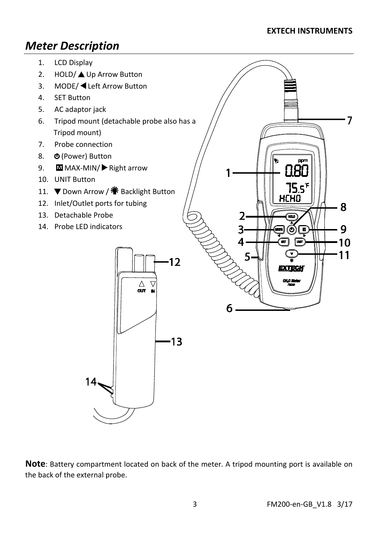#### **EXTECH INSTRUMENTS**

 $\overline{7}$ 

# *Meter Description*

- 1. LCD Display
- 2. HOLD/▲ Up Arrow Button
- 3. MODE/ ◀ Left Arrow Button
- 4. SET Button
- 5. AC adaptor jack
- 6. Tripod mount (detachable probe also has a Tripod mount)
- 7. Probe connection
- 8. **(D** (Power) Button
- 9. MI MAX-MIN/ Right arrow
- 10. UNIT Button
- 11. ▼ Down Arrow / 警 Backlight Button
- 12. Inlet/Outlet ports for tubing
- 13. Detachable Probe
- 14. Probe LED indicators



**Note**: Battery compartment located on back of the meter. A tripod mounting port is available on the back of the external probe.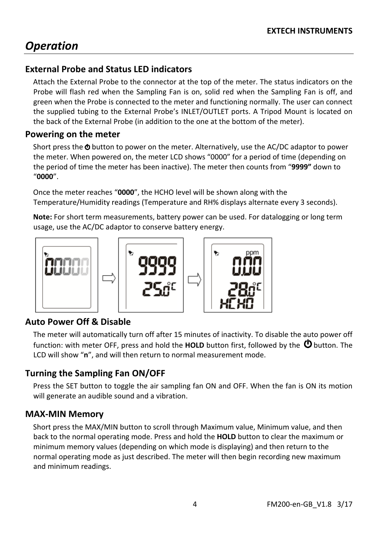# *Operation*

#### **External Probe and Status LED indicators**

Attach the External Probe to the connector at the top of the meter. The status indicators on the Probe will flash red when the Sampling Fan is on, solid red when the Sampling Fan is off, and green when the Probe is connected to the meter and functioning normally. The user can connect the supplied tubing to the External Probe's INLET/OUTLET ports. A Tripod Mount is located on the back of the External Probe (in addition to the one at the bottom of the meter).

#### **Powering on the meter**

Short press the **O** button to power on the meter. Alternatively, use the AC/DC adaptor to power the meter. When powered on, the meter LCD shows "0000" for a period of time (depending on the period of time the meter has been inactive). The meter then counts from "**9999"** down to "**0000**".

Once the meter reaches "**0000**", the HCHO level will be shown along with the Temperature/Humidity readings (Temperature and RH% displays alternate every 3 seconds).

**Note:** For short term measurements, battery power can be used. For datalogging or long term usage, use the AC/DC adaptor to conserve battery energy.



#### **Auto Power Off & Disable**

The meter will automatically turn off after 15 minutes of inactivity. To disable the auto power off function: with meter OFF, press and hold the HOLD button first, followed by the  $\Phi$  button. The LCD will show "**n**", and will then return to normal measurement mode.

#### **Turning the Sampling Fan ON/OFF**

Press the SET button to toggle the air sampling fan ON and OFF. When the fan is ON its motion will generate an audible sound and a vibration.

#### **MAX-MIN Memory**

Short press the MAX/MIN button to scroll through Maximum value, Minimum value, and then back to the normal operating mode. Press and hold the **HOLD** button to clear the maximum or minimum memory values (depending on which mode is displaying) and then return to the normal operating mode as just described. The meter will then begin recording new maximum and minimum readings.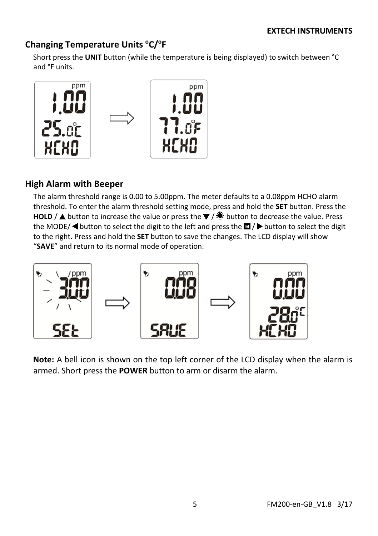## Changing Temperature Units °C/°F

Short press the **UNIT** button (while the temperature is being displayed) to switch between °C and °F units.



## **High Alarm with Beeper**

The alarm threshold range is 0.00 to 5.00ppm. The meter defaults to a 0.08ppm HCHO alarm threshold. To enter the alarm threshold setting mode, press and hold the **SET** button. Press the **HOLD** / ▲ button to increase the value or press the  $\blacktriangledown$  /  $\ddot{\blacktriangledown}$  button to decrease the value. Press the MODE/  $\blacktriangleleft$  button to select the digit to the left and press the  $\blacksquare$  /  $\blacktriangleright$  button to select the digit to the right. Press and hold the **SET** button to save the changes. The LCD display will show "**SAVE**" and return to its normal mode of operation.



**Note:** A bell icon is shown on the top left corner of the LCD display when the alarm is armed. Short press the **POWER** button to arm or disarm the alarm.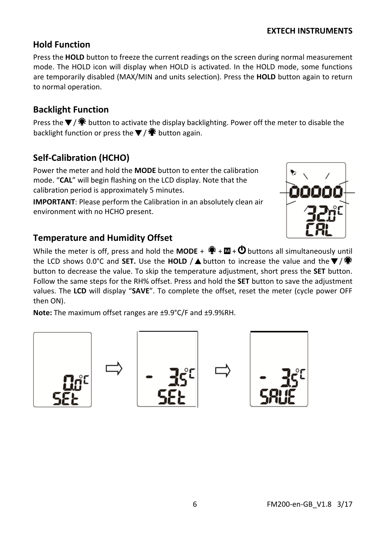#### **EXTECH INSTRUMENTS**

#### **Hold Function**

Press the **HOLD** button to freeze the current readings on the screen during normal measurement mode. The HOLD icon will display when HOLD is activated. In the HOLD mode, some functions are temporarily disabled (MAX/MIN and units selection). Press the **HOLD** button again to return to normal operation.

#### **Backlight Function**

Press the  $\blacktriangledown$  /  $\ddot{\clubsuit}$  button to activate the display backlighting. Power off the meter to disable the backlight function or press the  $\blacktriangledown$  /  $\ddot{\ddot{\bullet}}$  button again.

#### **Self-Calibration (HCHO)**

Power the meter and hold the **MODE** button to enter the calibration mode. "**CAL**" will begin flashing on the LCD display. Note that the calibration period is approximately 5 minutes.

**IMPORTANT**: Please perform the Calibration in an absolutely clean air environment with no HCHO present.

#### **Temperature and Humidity Offset**

While the meter is off, press and hold the **MODE** +  $\ddot{\ddot{\bullet}}$  +  $\ddot{\blacksquare}$  +  $\ddot{\bigcirc}$  buttons all simultaneously until the LCD shows 0.0°C and **SET.** Use the **HOLD** /▲ button to increase the value and the  $\blacktriangledown$  /  $\ddot{\textbf{*}}$ button to decrease the value. To skip the temperature adjustment, short press the **SET** button. Follow the same steps for the RH% offset. Press and hold the **SET** button to save the adjustment values. The **LCD** will display "**SAVE**". To complete the offset, reset the meter (cycle power OFF then ON).

**Note:** The maximum offset ranges are ±9.9°C/F and ±9.9%RH.

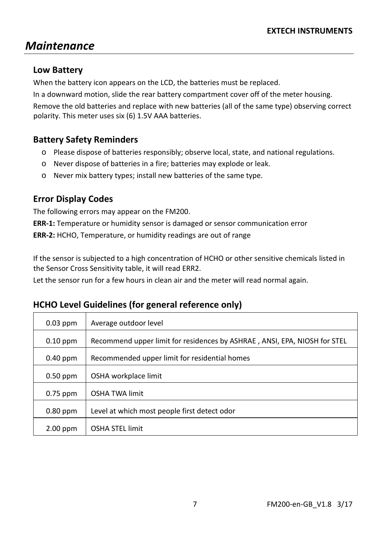# *Maintenance*

#### **Low Battery**

When the battery icon appears on the LCD, the batteries must be replaced.

In a downward motion, slide the rear battery compartment cover off of the meter housing.

Remove the old batteries and replace with new batteries (all of the same type) observing correct polarity. This meter uses six (6) 1.5V AAA batteries.

## **Battery Safety Reminders**

- o Please dispose of batteries responsibly; observe local, state, and national regulations.
- o Never dispose of batteries in a fire; batteries may explode or leak.
- o Never mix battery types; install new batteries of the same type.

## **Error Display Codes**

The following errors may appear on the FM200.

**ERR-1:** Temperature or humidity sensor is damaged or sensor communication error

**ERR-2:** HCHO, Temperature, or humidity readings are out of range

If the sensor is subjected to a high concentration of HCHO or other sensitive chemicals listed in the Sensor Cross Sensitivity table, it will read ERR2.

Let the sensor run for a few hours in clean air and the meter will read normal again.

| $0.03$ ppm | Average outdoor level                                                     |  |
|------------|---------------------------------------------------------------------------|--|
| $0.10$ ppm | Recommend upper limit for residences by ASHRAE, ANSI, EPA, NIOSH for STEL |  |
| $0.40$ ppm | Recommended upper limit for residential homes                             |  |
| $0.50$ ppm | OSHA workplace limit                                                      |  |
| $0.75$ ppm | <b>OSHA TWA limit</b>                                                     |  |
| $0.80$ ppm | Level at which most people first detect odor                              |  |
| $2.00$ ppm | <b>OSHA STEL limit</b>                                                    |  |

## **HCHO Level Guidelines (for general reference only)**